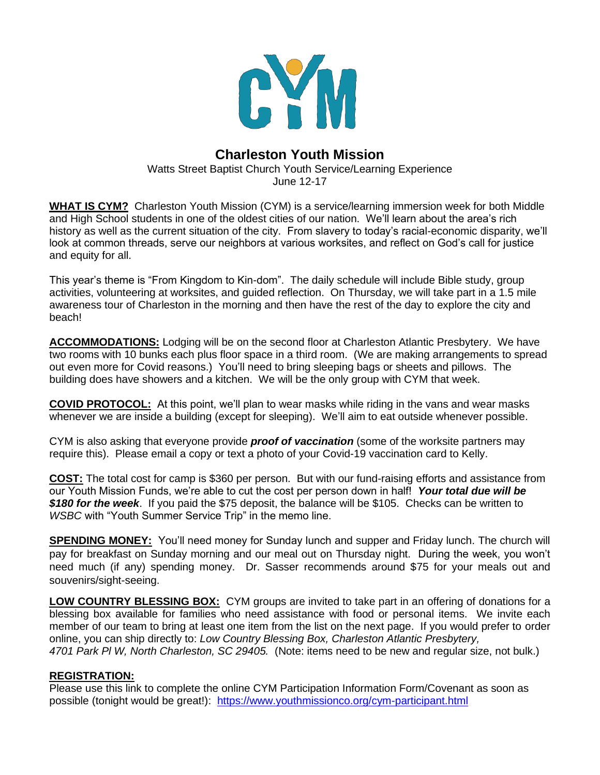

# **Charleston Youth Mission**

Watts Street Baptist Church Youth Service/Learning Experience June 12-17

**WHAT IS CYM?** Charleston Youth Mission (CYM) is a service/learning immersion week for both Middle and High School students in one of the oldest cities of our nation. We'll learn about the area's rich history as well as the current situation of the city. From slavery to today's racial-economic disparity, we'll look at common threads, serve our neighbors at various worksites, and reflect on God's call for justice and equity for all.

This year's theme is "From Kingdom to Kin-dom". The daily schedule will include Bible study, group activities, volunteering at worksites, and guided reflection. On Thursday, we will take part in a 1.5 mile awareness tour of Charleston in the morning and then have the rest of the day to explore the city and beach!

**ACCOMMODATIONS:** Lodging will be on the second floor at Charleston Atlantic Presbytery. We have two rooms with 10 bunks each plus floor space in a third room. (We are making arrangements to spread out even more for Covid reasons.) You'll need to bring sleeping bags or sheets and pillows. The building does have showers and a kitchen. We will be the only group with CYM that week.

**COVID PROTOCOL:** At this point, we'll plan to wear masks while riding in the vans and wear masks whenever we are inside a building (except for sleeping). We'll aim to eat outside whenever possible.

CYM is also asking that everyone provide *proof of vaccination* (some of the worksite partners may require this). Please email a copy or text a photo of your Covid-19 vaccination card to Kelly.

**COST:** The total cost for camp is \$360 per person. But with our fund-raising efforts and assistance from our Youth Mission Funds, we're able to cut the cost per person down in half! *Your total due will be \$180 for the week*. If you paid the \$75 deposit, the balance will be \$105. Checks can be written to *WSBC* with "Youth Summer Service Trip" in the memo line.

**SPENDING MONEY:** You'll need money for Sunday lunch and supper and Friday lunch. The church will pay for breakfast on Sunday morning and our meal out on Thursday night. During the week, you won't need much (if any) spending money. Dr. Sasser recommends around \$75 for your meals out and souvenirs/sight-seeing.

**LOW COUNTRY BLESSING BOX:** CYM groups are invited to take part in an offering of donations for a blessing box available for families who need assistance with food or personal items. We invite each member of our team to bring at least one item from the list on the next page. If you would prefer to order online, you can ship directly to: *Low Country Blessing Box, Charleston Atlantic Presbytery, 4701 Park Pl W, North Charleston, SC 29405.* (Note: items need to be new and regular size, not bulk.)

# **REGISTRATION:**

Please use this link to complete the online CYM Participation Information Form/Covenant as soon as possible (tonight would be great!): <https://www.youthmissionco.org/cym-participant.html>